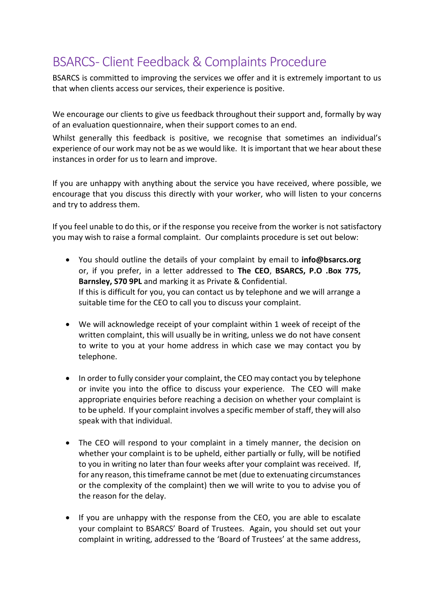## BSARCS- Client Feedback & Complaints Procedure

BSARCS is committed to improving the services we offer and it is extremely important to us that when clients access our services, their experience is positive.

We encourage our clients to give us feedback throughout their support and, formally by way of an evaluation questionnaire, when their support comes to an end.

Whilst generally this feedback is positive, we recognise that sometimes an individual's experience of our work may not be as we would like. It is important that we hear about these instances in order for us to learn and improve.

If you are unhappy with anything about the service you have received, where possible, we encourage that you discuss this directly with your worker, who will listen to your concerns and try to address them.

If you feel unable to do this, or if the response you receive from the worker is not satisfactory you may wish to raise a formal complaint. Our complaints procedure is set out below:

- You should outline the details of your complaint by email to **info@bsarcs.org** or, if you prefer, in a letter addressed to **The CEO**, **BSARCS, P.O .Box 775, Barnsley, S70 9PL** and marking it as Private & Confidential. If this is difficult for you, you can contact us by telephone and we will arrange a suitable time for the CEO to call you to discuss your complaint.
- We will acknowledge receipt of your complaint within 1 week of receipt of the written complaint, this will usually be in writing, unless we do not have consent to write to you at your home address in which case we may contact you by telephone.
- In order to fully consider your complaint, the CEO may contact you by telephone or invite you into the office to discuss your experience. The CEO will make appropriate enquiries before reaching a decision on whether your complaint is to be upheld. If your complaint involves a specific member of staff, they will also speak with that individual.
- The CEO will respond to your complaint in a timely manner, the decision on whether your complaint is to be upheld, either partially or fully, will be notified to you in writing no later than four weeks after your complaint was received. If, for any reason, this timeframe cannot be met (due to extenuating circumstances or the complexity of the complaint) then we will write to you to advise you of the reason for the delay.
- If you are unhappy with the response from the CEO, you are able to escalate your complaint to BSARCS' Board of Trustees. Again, you should set out your complaint in writing, addressed to the 'Board of Trustees' at the same address,